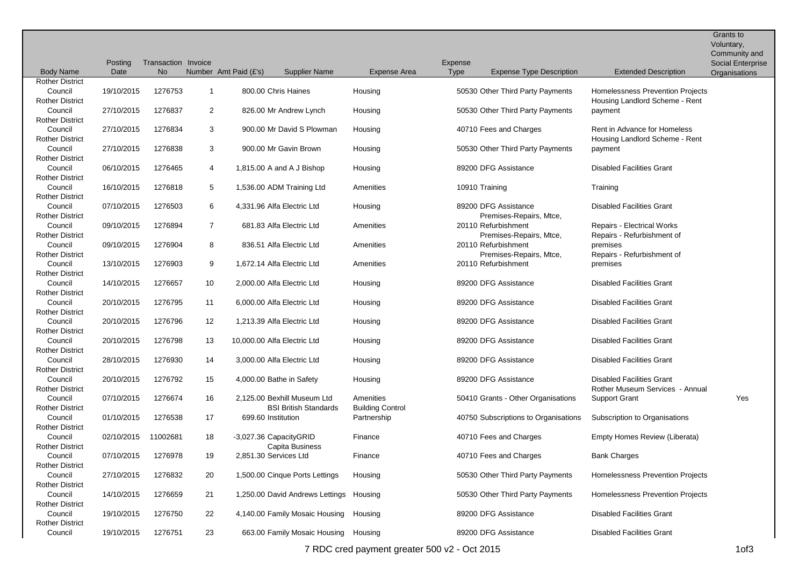|                                   |            |                     |                |                                               |                         |             |                                                |                                         | Grants to<br>Voluntary, |
|-----------------------------------|------------|---------------------|----------------|-----------------------------------------------|-------------------------|-------------|------------------------------------------------|-----------------------------------------|-------------------------|
|                                   |            |                     |                |                                               |                         |             |                                                |                                         | Community and           |
|                                   | Posting    | Transaction Invoice |                |                                               |                         | Expense     |                                                |                                         | Social Enterprise       |
| <b>Body Name</b>                  | Date       | No                  |                | Number Amt Paid (£'s)<br><b>Supplier Name</b> | Expense Area            | <b>Type</b> | <b>Expense Type Description</b>                | <b>Extended Description</b>             | Organisations           |
| <b>Rother District</b>            |            |                     |                |                                               |                         |             |                                                |                                         |                         |
| Council                           | 19/10/2015 | 1276753             | $\overline{1}$ | 800.00 Chris Haines                           | Housing                 |             | 50530 Other Third Party Payments               | Homelessness Prevention Projects        |                         |
| <b>Rother District</b><br>Council | 27/10/2015 | 1276837             |                |                                               |                         |             | 50530 Other Third Party Payments               | Housing Landlord Scheme - Rent          |                         |
| <b>Rother District</b>            |            |                     | 2              | 826.00 Mr Andrew Lynch                        | Housing                 |             |                                                | payment                                 |                         |
| Council                           | 27/10/2015 | 1276834             | 3              | 900.00 Mr David S Plowman                     | Housing                 |             | 40710 Fees and Charges                         | Rent in Advance for Homeless            |                         |
| <b>Rother District</b>            |            |                     |                |                                               |                         |             |                                                | Housing Landlord Scheme - Rent          |                         |
| Council                           | 27/10/2015 | 1276838             | 3              | 900.00 Mr Gavin Brown                         | Housing                 |             | 50530 Other Third Party Payments               | payment                                 |                         |
| <b>Rother District</b>            |            |                     |                |                                               |                         |             |                                                |                                         |                         |
| Council                           | 06/10/2015 | 1276465             | 4              | 1,815.00 A and A J Bishop                     | Housing                 |             | 89200 DFG Assistance                           | <b>Disabled Facilities Grant</b>        |                         |
| <b>Rother District</b>            |            |                     |                |                                               |                         |             |                                                |                                         |                         |
| Council                           | 16/10/2015 | 1276818             | 5              | 1,536.00 ADM Training Ltd                     | Amenities               |             | 10910 Training                                 | Training                                |                         |
| <b>Rother District</b>            |            |                     |                |                                               |                         |             |                                                |                                         |                         |
| Council                           | 07/10/2015 | 1276503             | 6              | 4,331.96 Alfa Electric Ltd                    | Housing                 |             | 89200 DFG Assistance                           | <b>Disabled Facilities Grant</b>        |                         |
| <b>Rother District</b>            |            |                     |                |                                               |                         |             | Premises-Repairs, Mtce,                        |                                         |                         |
| Council                           | 09/10/2015 | 1276894             | $\overline{7}$ | 681.83 Alfa Electric Ltd                      | Amenities               |             | 20110 Refurbishment                            | <b>Repairs - Electrical Works</b>       |                         |
| <b>Rother District</b>            |            |                     |                |                                               |                         |             | Premises-Repairs, Mtce,                        | Repairs - Refurbishment of              |                         |
| Council                           | 09/10/2015 | 1276904             | 8              | 836.51 Alfa Electric Ltd                      | Amenities               |             | 20110 Refurbishment                            | premises                                |                         |
| <b>Rother District</b>            |            |                     |                |                                               | Amenities               |             | Premises-Repairs, Mtce,<br>20110 Refurbishment | Repairs - Refurbishment of<br>premises  |                         |
| Council<br><b>Rother District</b> | 13/10/2015 | 1276903             | 9              | 1,672.14 Alfa Electric Ltd                    |                         |             |                                                |                                         |                         |
| Council                           | 14/10/2015 | 1276657             | 10             | 2,000.00 Alfa Electric Ltd                    | Housing                 |             | 89200 DFG Assistance                           | <b>Disabled Facilities Grant</b>        |                         |
| <b>Rother District</b>            |            |                     |                |                                               |                         |             |                                                |                                         |                         |
| Council                           | 20/10/2015 | 1276795             | 11             | 6,000.00 Alfa Electric Ltd                    | Housing                 |             | 89200 DFG Assistance                           | <b>Disabled Facilities Grant</b>        |                         |
| <b>Rother District</b>            |            |                     |                |                                               |                         |             |                                                |                                         |                         |
| Council                           | 20/10/2015 | 1276796             | 12             | 1,213.39 Alfa Electric Ltd                    | Housing                 |             | 89200 DFG Assistance                           | <b>Disabled Facilities Grant</b>        |                         |
| <b>Rother District</b>            |            |                     |                |                                               |                         |             |                                                |                                         |                         |
| Council                           | 20/10/2015 | 1276798             | 13             | 10,000.00 Alfa Electric Ltd                   | Housing                 |             | 89200 DFG Assistance                           | <b>Disabled Facilities Grant</b>        |                         |
| <b>Rother District</b>            |            |                     |                |                                               |                         |             |                                                |                                         |                         |
| Council                           | 28/10/2015 | 1276930             | 14             | 3,000.00 Alfa Electric Ltd                    | Housing                 |             | 89200 DFG Assistance                           | <b>Disabled Facilities Grant</b>        |                         |
| <b>Rother District</b>            |            |                     |                |                                               |                         |             |                                                |                                         |                         |
| Council                           | 20/10/2015 | 1276792             | 15             | 4,000.00 Bathe in Safety                      | Housing                 |             | 89200 DFG Assistance                           | <b>Disabled Facilities Grant</b>        |                         |
| <b>Rother District</b><br>Council | 07/10/2015 | 1276674             | 16             | 2,125.00 Bexhill Museum Ltd                   | Amenities               |             | 50410 Grants - Other Organisations             | Rother Museum Services - Annual         | Yes                     |
| <b>Rother District</b>            |            |                     |                | <b>BSI British Standards</b>                  | <b>Building Control</b> |             |                                                | <b>Support Grant</b>                    |                         |
| Council                           | 01/10/2015 | 1276538             | 17             | 699.60 Institution                            | Partnership             |             | 40750 Subscriptions to Organisations           | Subscription to Organisations           |                         |
| <b>Rother District</b>            |            |                     |                |                                               |                         |             |                                                |                                         |                         |
| Council                           | 02/10/2015 | 11002681            | 18             | -3,027.36 CapacityGRID                        | Finance                 |             | 40710 Fees and Charges                         | Empty Homes Review (Liberata)           |                         |
| <b>Rother District</b>            |            |                     |                | Capita Business                               |                         |             |                                                |                                         |                         |
| Council                           | 07/10/2015 | 1276978             | 19             | 2,851.30 Services Ltd                         | Finance                 |             | 40710 Fees and Charges                         | <b>Bank Charges</b>                     |                         |
| <b>Rother District</b>            |            |                     |                |                                               |                         |             |                                                |                                         |                         |
| Council                           | 27/10/2015 | 1276832             | 20             | 1,500.00 Cinque Ports Lettings                | Housing                 |             | 50530 Other Third Party Payments               | <b>Homelessness Prevention Projects</b> |                         |
| <b>Rother District</b>            |            |                     |                |                                               |                         |             |                                                |                                         |                         |
| Council                           | 14/10/2015 | 1276659             | 21             | 1,250.00 David Andrews Lettings Housing       |                         |             | 50530 Other Third Party Payments               | Homelessness Prevention Projects        |                         |
| <b>Rother District</b>            |            |                     |                |                                               |                         |             |                                                |                                         |                         |
| Council                           | 19/10/2015 | 1276750             | 22             | 4,140.00 Family Mosaic Housing Housing        |                         |             | 89200 DFG Assistance                           | <b>Disabled Facilities Grant</b>        |                         |
| <b>Rother District</b>            |            |                     |                |                                               |                         |             |                                                |                                         |                         |
| Council                           | 19/10/2015 | 1276751             | 23             | 663.00 Family Mosaic Housing Housing          |                         |             | 89200 DFG Assistance                           | <b>Disabled Facilities Grant</b>        |                         |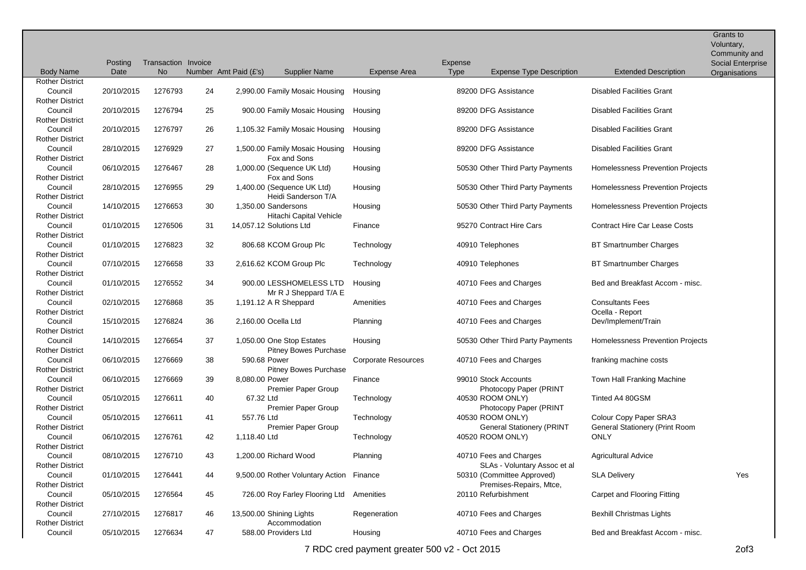|                                   |                |                     |    |                                               |                            |             |                                  |                                        | Grants to<br>Voluntary, |
|-----------------------------------|----------------|---------------------|----|-----------------------------------------------|----------------------------|-------------|----------------------------------|----------------------------------------|-------------------------|
|                                   |                |                     |    |                                               |                            |             |                                  |                                        | Community and           |
|                                   | <b>Posting</b> | Transaction Invoice |    |                                               |                            | Expense     |                                  |                                        | Social Enterprise       |
| <b>Body Name</b>                  | Date           | <b>No</b>           |    | Number Amt Paid (£'s)<br><b>Supplier Name</b> | Expense Area               | <b>Type</b> | <b>Expense Type Description</b>  | <b>Extended Description</b>            | Organisations           |
| <b>Rother District</b><br>Council |                | 1276793             | 24 |                                               |                            |             |                                  | <b>Disabled Facilities Grant</b>       |                         |
| <b>Rother District</b>            | 20/10/2015     |                     |    | 2,990.00 Family Mosaic Housing                | Housing                    |             | 89200 DFG Assistance             |                                        |                         |
| Council                           | 20/10/2015     | 1276794             | 25 | 900.00 Family Mosaic Housing                  | Housing                    |             | 89200 DFG Assistance             | <b>Disabled Facilities Grant</b>       |                         |
| <b>Rother District</b>            |                |                     |    |                                               |                            |             |                                  |                                        |                         |
| Council                           | 20/10/2015     | 1276797             | 26 | 1,105.32 Family Mosaic Housing                | Housing                    |             | 89200 DFG Assistance             | <b>Disabled Facilities Grant</b>       |                         |
| <b>Rother District</b>            |                |                     |    |                                               |                            |             |                                  |                                        |                         |
| Council                           | 28/10/2015     | 1276929             | 27 | 1,500.00 Family Mosaic Housing                | Housing                    |             | 89200 DFG Assistance             | <b>Disabled Facilities Grant</b>       |                         |
| <b>Rother District</b>            |                |                     |    | Fox and Sons                                  |                            |             |                                  |                                        |                         |
| Council                           | 06/10/2015     | 1276467             | 28 | 1,000.00 (Sequence UK Ltd)                    | Housing                    |             | 50530 Other Third Party Payments | Homelessness Prevention Projects       |                         |
| <b>Rother District</b>            |                |                     |    | Fox and Sons                                  |                            |             |                                  |                                        |                         |
| Council                           | 28/10/2015     | 1276955             | 29 | 1,400.00 (Sequence UK Ltd)                    | Housing                    |             | 50530 Other Third Party Payments | Homelessness Prevention Projects       |                         |
| <b>Rother District</b>            |                |                     |    | Heidi Sanderson T/A                           |                            |             |                                  |                                        |                         |
| Council                           | 14/10/2015     | 1276653             | 30 | 1,350.00 Sandersons                           | Housing                    |             | 50530 Other Third Party Payments | Homelessness Prevention Projects       |                         |
| <b>Rother District</b>            |                |                     |    | Hitachi Capital Vehicle                       |                            |             |                                  |                                        |                         |
| Council                           | 01/10/2015     | 1276506             | 31 | 14,057.12 Solutions Ltd                       | Finance                    |             | 95270 Contract Hire Cars         | <b>Contract Hire Car Lease Costs</b>   |                         |
| <b>Rother District</b>            |                |                     |    |                                               |                            |             |                                  |                                        |                         |
| Council                           | 01/10/2015     | 1276823             | 32 | 806.68 KCOM Group Plc                         | Technology                 |             | 40910 Telephones                 | <b>BT Smartnumber Charges</b>          |                         |
| <b>Rother District</b>            |                |                     |    |                                               |                            |             |                                  |                                        |                         |
| Council                           | 07/10/2015     | 1276658             | 33 | 2,616.62 KCOM Group Plc                       | Technology                 |             | 40910 Telephones                 | <b>BT Smartnumber Charges</b>          |                         |
| <b>Rother District</b>            |                |                     |    |                                               |                            |             |                                  |                                        |                         |
| Council                           | 01/10/2015     | 1276552             | 34 | 900.00 LESSHOMELESS LTD                       | Housing                    |             | 40710 Fees and Charges           | Bed and Breakfast Accom - misc.        |                         |
| <b>Rother District</b>            |                |                     |    | Mr R J Sheppard T/A E                         |                            |             |                                  |                                        |                         |
| Council                           | 02/10/2015     | 1276868             | 35 | 1,191.12 A R Sheppard                         | Amenities                  |             | 40710 Fees and Charges           | <b>Consultants Fees</b>                |                         |
| <b>Rother District</b><br>Council | 15/10/2015     | 1276824             | 36 | 2,160.00 Ocella Ltd                           | Planning                   |             | 40710 Fees and Charges           | Ocella - Report<br>Dev/Implement/Train |                         |
| <b>Rother District</b>            |                |                     |    |                                               |                            |             |                                  |                                        |                         |
| Council                           | 14/10/2015     | 1276654             | 37 | 1,050.00 One Stop Estates                     | Housing                    |             | 50530 Other Third Party Payments | Homelessness Prevention Projects       |                         |
| <b>Rother District</b>            |                |                     |    | <b>Pitney Bowes Purchase</b>                  |                            |             |                                  |                                        |                         |
| Council                           | 06/10/2015     | 1276669             | 38 | 590.68 Power                                  | <b>Corporate Resources</b> |             | 40710 Fees and Charges           | franking machine costs                 |                         |
| <b>Rother District</b>            |                |                     |    | <b>Pitney Bowes Purchase</b>                  |                            |             |                                  |                                        |                         |
| Council                           | 06/10/2015     | 1276669             | 39 | 8,080.00 Power                                | Finance                    |             | 99010 Stock Accounts             | Town Hall Franking Machine             |                         |
| <b>Rother District</b>            |                |                     |    | Premier Paper Group                           |                            |             | Photocopy Paper (PRINT           |                                        |                         |
| Council                           | 05/10/2015     | 1276611             | 40 | 67.32 Ltd                                     | Technology                 |             | 40530 ROOM ONLY)                 | Tinted A4 80GSM                        |                         |
| <b>Rother District</b>            |                |                     |    | Premier Paper Group                           |                            |             | Photocopy Paper (PRINT           |                                        |                         |
| Council                           | 05/10/2015     | 1276611             | 41 | 557.76 Ltd                                    | Technology                 |             | 40530 ROOM ONLY)                 | Colour Copy Paper SRA3                 |                         |
| <b>Rother District</b>            |                |                     |    | Premier Paper Group                           |                            |             | <b>General Stationery (PRINT</b> | General Stationery (Print Room         |                         |
| Council                           | 06/10/2015     | 1276761             | 42 | 1,118.40 Ltd                                  | Technology                 |             | 40520 ROOM ONLY)                 | ONLY                                   |                         |
| <b>Rother District</b>            |                |                     |    |                                               |                            |             |                                  |                                        |                         |
| Council                           | 08/10/2015     | 1276710             | 43 | 1,200.00 Richard Wood                         | Planning                   |             | 40710 Fees and Charges           | <b>Agricultural Advice</b>             |                         |
| <b>Rother District</b>            |                |                     |    |                                               |                            |             | SLAs - Voluntary Assoc et al     |                                        |                         |
| Council                           | 01/10/2015     | 1276441             | 44 | 9,500.00 Rother Voluntary Action Finance      |                            |             | 50310 (Committee Approved)       | <b>SLA Delivery</b>                    | Yes                     |
| <b>Rother District</b>            |                |                     |    |                                               |                            |             | Premises-Repairs, Mtce,          |                                        |                         |
| Council                           | 05/10/2015     | 1276564             | 45 | 726.00 Roy Farley Flooring Ltd                | Amenities                  |             | 20110 Refurbishment              | Carpet and Flooring Fitting            |                         |
| <b>Rother District</b>            |                |                     |    |                                               |                            |             |                                  |                                        |                         |
| Council<br><b>Rother District</b> | 27/10/2015     | 1276817             | 46 | 13,500.00 Shining Lights<br>Accommodation     | Regeneration               |             | 40710 Fees and Charges           | <b>Bexhill Christmas Lights</b>        |                         |
| Council                           | 05/10/2015     | 1276634             | 47 | 588.00 Providers Ltd                          | Housing                    |             | 40710 Fees and Charges           | Bed and Breakfast Accom - misc.        |                         |
|                                   |                |                     |    |                                               |                            |             |                                  |                                        |                         |

7 RDC cred payment greater 500 v2 - Oct 2015